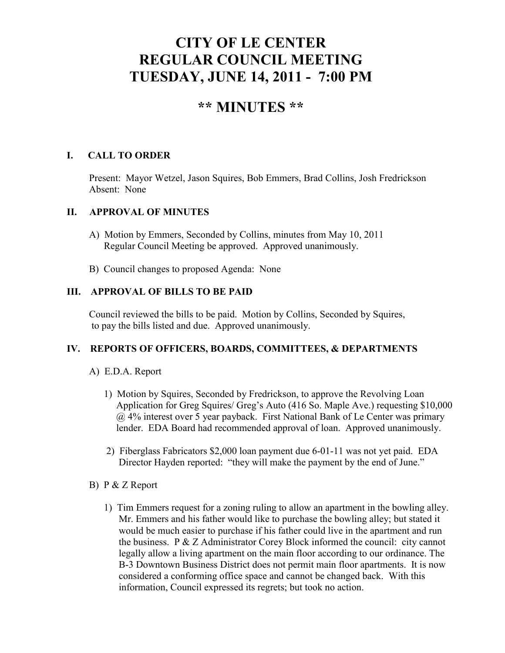# **CITY OF LE CENTER REGULAR COUNCIL MEETING TUESDAY, JUNE 14, 2011 - 7:00 PM**

## **\*\* MINUTES \*\***

## **I. CALL TO ORDER**

Present: Mayor Wetzel, Jason Squires, Bob Emmers, Brad Collins, Josh Fredrickson Absent: None

### **II. APPROVAL OF MINUTES**

- A) Motion by Emmers, Seconded by Collins, minutes from May 10, 2011 Regular Council Meeting be approved. Approved unanimously.
- B) Council changes to proposed Agenda: None

### **III. APPROVAL OF BILLS TO BE PAID**

Council reviewed the bills to be paid. Motion by Collins, Seconded by Squires, to pay the bills listed and due. Approved unanimously.

## **IV. REPORTS OF OFFICERS, BOARDS, COMMITTEES, & DEPARTMENTS**

## A) E.D.A. Report

- 1) Motion by Squires, Seconded by Fredrickson, to approve the Revolving Loan Application for Greg Squires/ Greg's Auto (416 So. Maple Ave.) requesting \$10,000 @ 4% interest over 5 year payback. First National Bank of Le Center was primary lender. EDA Board had recommended approval of loan. Approved unanimously.
- 2) Fiberglass Fabricators \$2,000 loan payment due 6-01-11 was not yet paid. EDA Director Hayden reported: "they will make the payment by the end of June."
- B) P & Z Report
	- 1) Tim Emmers request for a zoning ruling to allow an apartment in the bowling alley. Mr. Emmers and his father would like to purchase the bowling alley; but stated it would be much easier to purchase if his father could live in the apartment and run the business. P & Z Administrator Corey Block informed the council: city cannot legally allow a living apartment on the main floor according to our ordinance. The B-3 Downtown Business District does not permit main floor apartments. It is now considered a conforming office space and cannot be changed back. With this information, Council expressed its regrets; but took no action.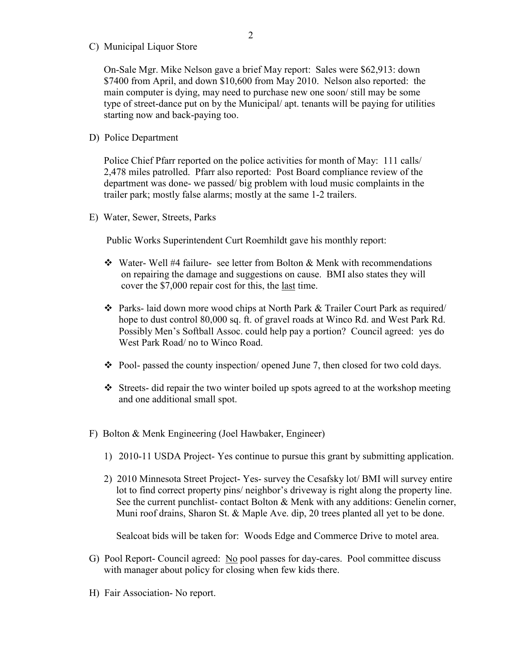C) Municipal Liquor Store

On-Sale Mgr. Mike Nelson gave a brief May report: Sales were \$62,913: down \$7400 from April, and down \$10,600 from May 2010. Nelson also reported: the main computer is dying, may need to purchase new one soon/ still may be some type of street-dance put on by the Municipal/ apt. tenants will be paying for utilities starting now and back-paying too.

D) Police Department

Police Chief Pfarr reported on the police activities for month of May: 111 calls/ 2,478 miles patrolled. Pfarr also reported: Post Board compliance review of the department was done- we passed/ big problem with loud music complaints in the trailer park; mostly false alarms; mostly at the same 1-2 trailers.

E) Water, Sewer, Streets, Parks

Public Works Superintendent Curt Roemhildt gave his monthly report:

- $\div$  Water-Well #4 failure- see letter from Bolton & Menk with recommendations on repairing the damage and suggestions on cause. BMI also states they will cover the \$7,000 repair cost for this, the last time.
- Parks- laid down more wood chips at North Park & Trailer Court Park as required/ hope to dust control 80,000 sq. ft. of gravel roads at Winco Rd. and West Park Rd. Possibly Men's Softball Assoc. could help pay a portion? Council agreed: yes do West Park Road/ no to Winco Road.
- Pool- passed the county inspection/ opened June 7, then closed for two cold days.
- Streets- did repair the two winter boiled up spots agreed to at the workshop meeting and one additional small spot.
- F) Bolton & Menk Engineering (Joel Hawbaker, Engineer)
	- 1) 2010-11 USDA Project- Yes continue to pursue this grant by submitting application.
	- 2) 2010 Minnesota Street Project- Yes- survey the Cesafsky lot/ BMI will survey entire lot to find correct property pins/ neighbor's driveway is right along the property line. See the current punchlist- contact Bolton & Menk with any additions: Genelin corner, Muni roof drains, Sharon St. & Maple Ave. dip, 20 trees planted all yet to be done.

Sealcoat bids will be taken for: Woods Edge and Commerce Drive to motel area.

- G) Pool Report- Council agreed: No pool passes for day-cares. Pool committee discuss with manager about policy for closing when few kids there.
- H) Fair Association- No report.